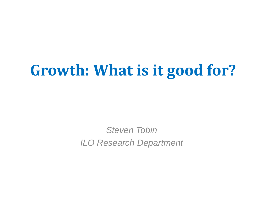## **Growth: What is it good for?**

*Steven Tobin ILO Research Department*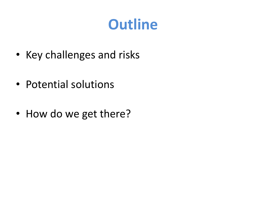### **Outline**

- Key challenges and risks
- Potential solutions
- How do we get there?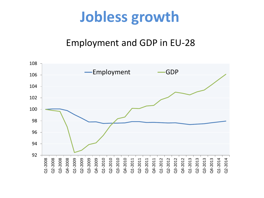### **Jobless growth**

### Employment and GDP in EU-28

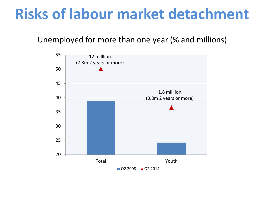### **Risks of labour market detachment**

Unemployed for more than one year (% and millions)

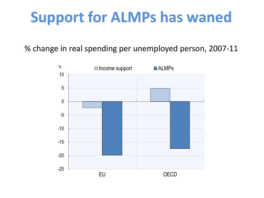## **Support for ALMPs has waned**

% change in real spending per unemployed person, 2007-11

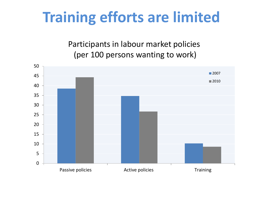### **Training efforts are limited**

Participants in labour market policies (per 100 persons wanting to work)

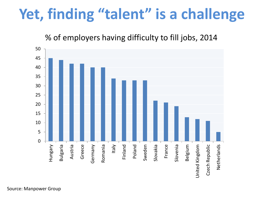### **Yet, finding "talent" is a challenge**

#### % of employers having difficulty to fill jobs, 2014

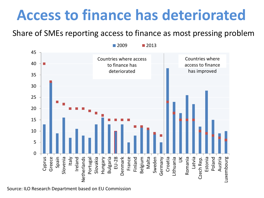### **Access to finance has deteriorated**

Share of SMEs reporting access to finance as most pressing problem



Source: ILO Research Department based on EU Commission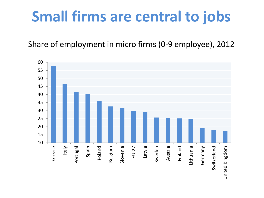### **Small firms are central to jobs**

Share of employment in micro firms (0-9 employee), 2012

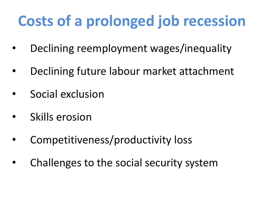# **Costs of a prolonged job recession**

- Declining reemployment wages/inequality
- Declining future labour market attachment
- Social exclusion
- Skills erosion
- Competitiveness/productivity loss
- Challenges to the social security system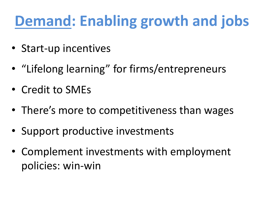# **Demand: Enabling growth and jobs**

- Start-up incentives
- "Lifelong learning" for firms/entrepreneurs
- Credit to SMEs
- There's more to competitiveness than wages
- Support productive investments
- Complement investments with employment policies: win-win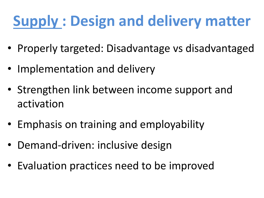# **Supply : Design and delivery matter**

- Properly targeted: Disadvantage vs disadvantaged
- Implementation and delivery
- Strengthen link between income support and activation
- Emphasis on training and employability
- Demand-driven: inclusive design
- Evaluation practices need to be improved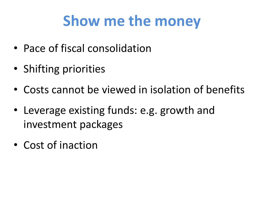## **Show me the money**

- Pace of fiscal consolidation
- Shifting priorities
- Costs cannot be viewed in isolation of benefits
- Leverage existing funds: e.g. growth and investment packages
- Cost of inaction